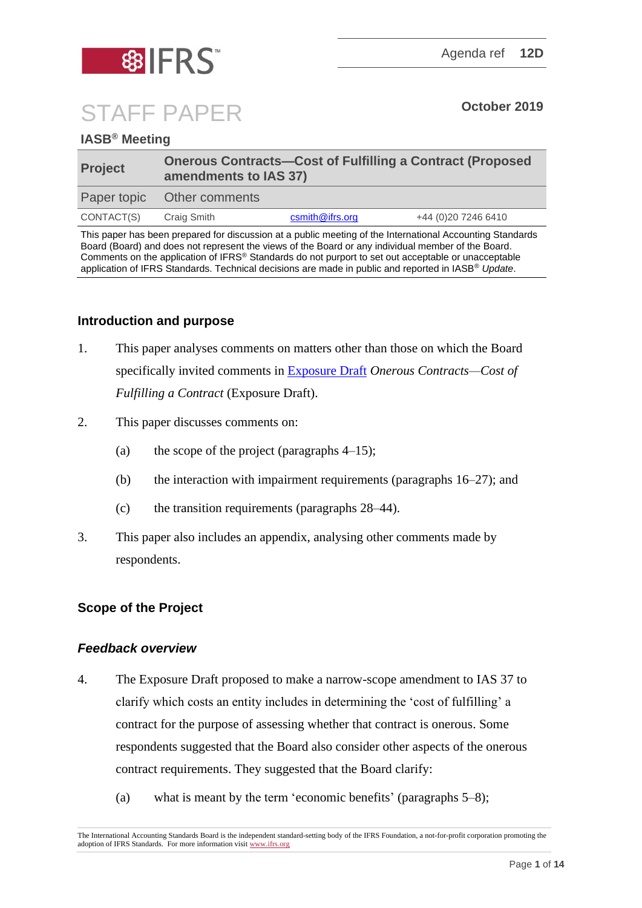

# STAFF PAPER **October 2019**

# **IASB® Meeting**

| <b>Project</b> | <b>Onerous Contracts-Cost of Fulfilling a Contract (Proposed</b><br>amendments to IAS 37) |                 |                      |
|----------------|-------------------------------------------------------------------------------------------|-----------------|----------------------|
|                | Paper topic Other comments                                                                |                 |                      |
| CONTACT(S)     | Craig Smith                                                                               | csmith@ifrs.org | +44 (0) 20 7246 6410 |

This paper has been prepared for discussion at a public meeting of the International Accounting Standards Board (Board) and does not represent the views of the Board or any individual member of the Board. Comments on the application of IFRS® Standards do not purport to set out acceptable or unacceptable application of IFRS Standards. Technical decisions are made in public and reported in IASB® *Update*.

## **Introduction and purpose**

- 1. This paper analyses comments on matters other than those on which the Board specifically invited comments in [Exposure Draft](https://www.ifrs.org/-/media/project/onerous-contracts-cost-of-fulfilling-a-contract-amendments-to-ias-37/ed-onerous-contracts-december-2018.pdf) *Onerous Contracts—Cost of Fulfilling a Contract* (Exposure Draft).
- 2. This paper discusses comments on:
	- (a) the scope of the project (paragraphs  $4-15$ );
	- (b) the interaction with impairment requirements (paragraphs [16–](#page-4-0)[27\)](#page-6-0); and
	- (c) the transition requirements (paragraphs [28](#page-6-1)[–44\)](#page-10-0).
- 3. This paper also includes an appendix, analysing other comments made by respondents.

## **Scope of the Project**

## *Feedback overview*

- <span id="page-0-0"></span>4. The Exposure Draft proposed to make a narrow-scope amendment to IAS 37 to clarify which costs an entity includes in determining the 'cost of fulfilling' a contract for the purpose of assessing whether that contract is onerous. Some respondents suggested that the Board also consider other aspects of the onerous contract requirements. They suggested that the Board clarify:
	- (a) what is meant by the term 'economic benefits' (paragraphs [5–](#page-1-0)[8\)](#page-1-1);

The International Accounting Standards Board is the independent standard-setting body of the IFRS Foundation, a not-for-profit corporation promoting the adoption of IFRS Standards. For more information visi[t www.ifrs.org](http://www.ifrs.org/)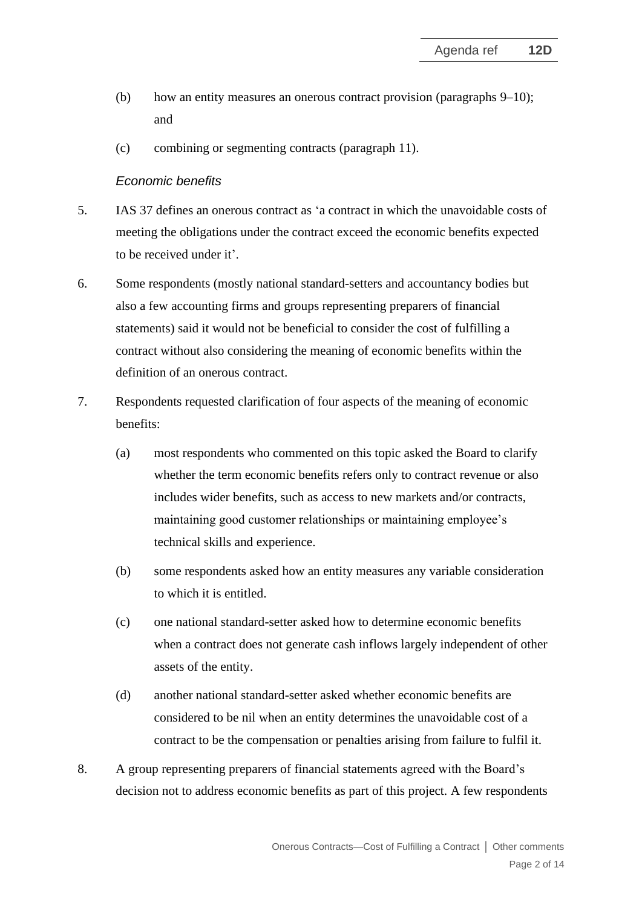- (b) how an entity measures an onerous contract provision (paragraphs [9–](#page-2-0)[10\)](#page-2-1); and
- (c) combining or segmenting contracts (paragraph [11\)](#page-2-2).

## *Economic benefits*

- <span id="page-1-0"></span>5. IAS 37 defines an onerous contract as 'a contract in which the unavoidable costs of meeting the obligations under the contract exceed the economic benefits expected to be received under it'.
- 6. Some respondents (mostly national standard-setters and accountancy bodies but also a few accounting firms and groups representing preparers of financial statements) said it would not be beneficial to consider the cost of fulfilling a contract without also considering the meaning of economic benefits within the definition of an onerous contract.
- 7. Respondents requested clarification of four aspects of the meaning of economic benefits:
	- (a) most respondents who commented on this topic asked the Board to clarify whether the term economic benefits refers only to contract revenue or also includes wider benefits, such as access to new markets and/or contracts, maintaining good customer relationships or maintaining employee's technical skills and experience.
	- (b) some respondents asked how an entity measures any variable consideration to which it is entitled.
	- (c) one national standard-setter asked how to determine economic benefits when a contract does not generate cash inflows largely independent of other assets of the entity.
	- (d) another national standard-setter asked whether economic benefits are considered to be nil when an entity determines the unavoidable cost of a contract to be the compensation or penalties arising from failure to fulfil it.
- <span id="page-1-1"></span>8. A group representing preparers of financial statements agreed with the Board's decision not to address economic benefits as part of this project. A few respondents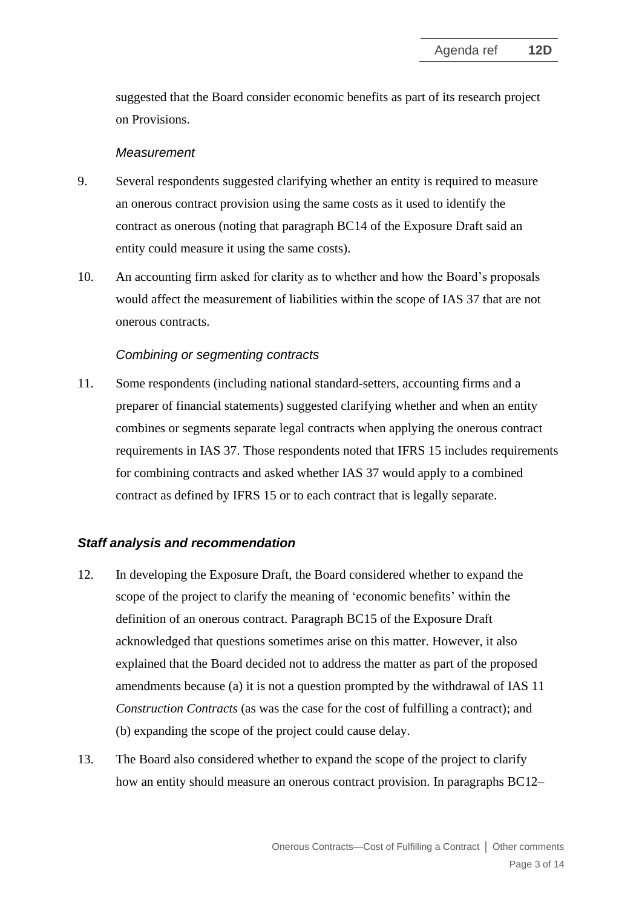suggested that the Board consider economic benefits as part of its research project on Provisions.

#### *Measurement*

- <span id="page-2-0"></span>9. Several respondents suggested clarifying whether an entity is required to measure an onerous contract provision using the same costs as it used to identify the contract as onerous (noting that paragraph BC14 of the Exposure Draft said an entity could measure it using the same costs).
- <span id="page-2-1"></span>10. An accounting firm asked for clarity as to whether and how the Board's proposals would affect the measurement of liabilities within the scope of IAS 37 that are not onerous contracts.

# *Combining or segmenting contracts*

<span id="page-2-2"></span>11. Some respondents (including national standard-setters, accounting firms and a preparer of financial statements) suggested clarifying whether and when an entity combines or segments separate legal contracts when applying the onerous contract requirements in IAS 37. Those respondents noted that IFRS 15 includes requirements for combining contracts and asked whether IAS 37 would apply to a combined contract as defined by IFRS 15 or to each contract that is legally separate.

# *Staff analysis and recommendation*

- 12. In developing the Exposure Draft, the Board considered whether to expand the scope of the project to clarify the meaning of 'economic benefits' within the definition of an onerous contract. Paragraph BC15 of the Exposure Draft acknowledged that questions sometimes arise on this matter. However, it also explained that the Board decided not to address the matter as part of the proposed amendments because (a) it is not a question prompted by the withdrawal of IAS 11 *Construction Contracts* (as was the case for the cost of fulfilling a contract); and (b) expanding the scope of the project could cause delay.
- 13. The Board also considered whether to expand the scope of the project to clarify how an entity should measure an onerous contract provision. In paragraphs BC12–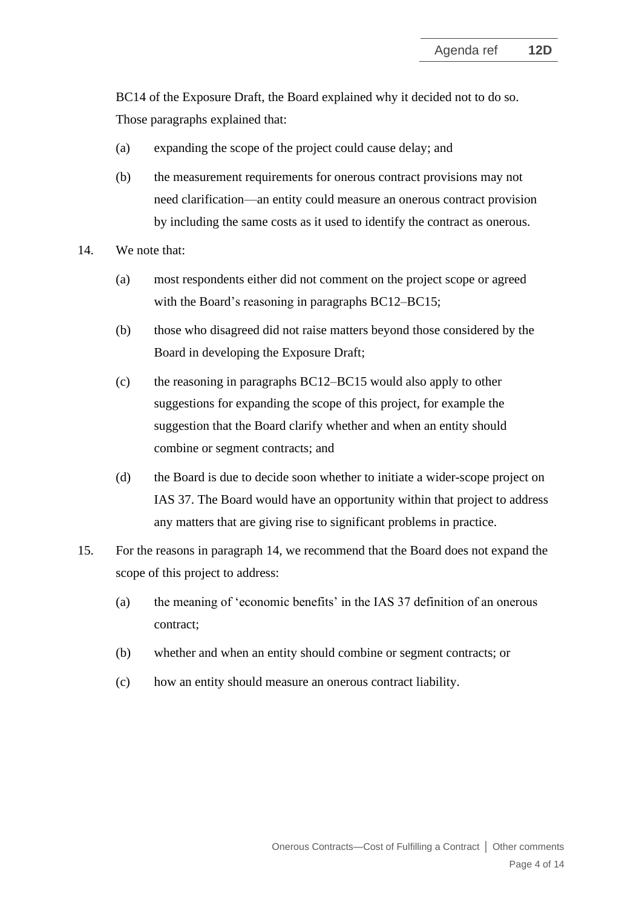BC14 of the Exposure Draft, the Board explained why it decided not to do so. Those paragraphs explained that:

- (a) expanding the scope of the project could cause delay; and
- (b) the measurement requirements for onerous contract provisions may not need clarification—an entity could measure an onerous contract provision by including the same costs as it used to identify the contract as onerous.
- <span id="page-3-1"></span>14. We note that:
	- (a) most respondents either did not comment on the project scope or agreed with the Board's reasoning in paragraphs BC12–BC15;
	- (b) those who disagreed did not raise matters beyond those considered by the Board in developing the Exposure Draft;
	- (c) the reasoning in paragraphs BC12–BC15 would also apply to other suggestions for expanding the scope of this project, for example the suggestion that the Board clarify whether and when an entity should combine or segment contracts; and
	- (d) the Board is due to decide soon whether to initiate a wider-scope project on IAS 37. The Board would have an opportunity within that project to address any matters that are giving rise to significant problems in practice.
- <span id="page-3-0"></span>15. For the reasons in paragraph [14,](#page-3-1) we recommend that the Board does not expand the scope of this project to address:
	- (a) the meaning of 'economic benefits' in the IAS 37 definition of an onerous contract;
	- (b) whether and when an entity should combine or segment contracts; or
	- (c) how an entity should measure an onerous contract liability.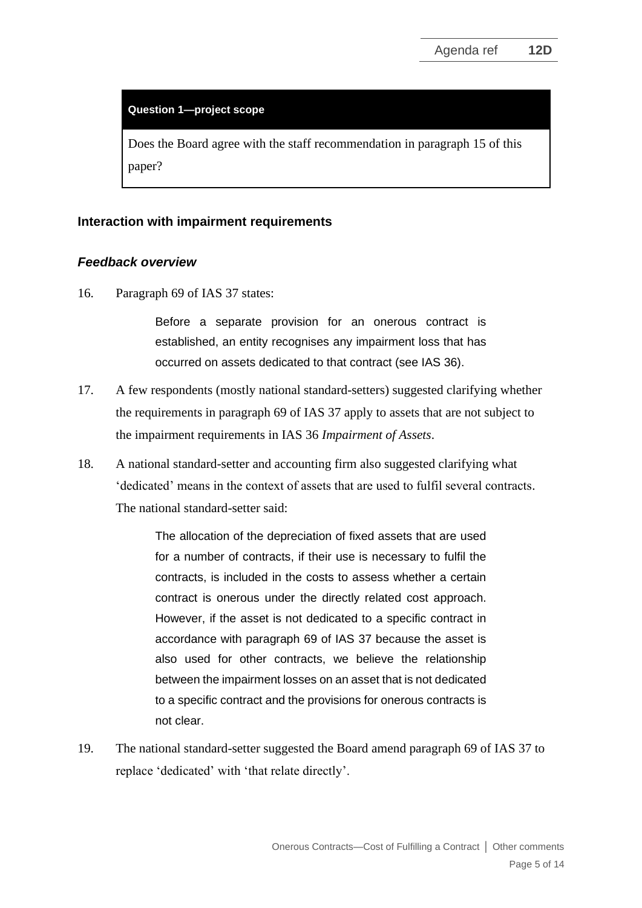#### **Question 1—project scope**

Does the Board agree with the staff recommendation in paragraph [15](#page-3-0) of this paper?

#### **Interaction with impairment requirements**

#### *Feedback overview*

<span id="page-4-0"></span>16. Paragraph 69 of IAS 37 states:

Before a separate provision for an onerous contract is established, an entity recognises any impairment loss that has occurred on assets dedicated to that contract (see IAS 36).

- 17. A few respondents (mostly national standard-setters) suggested clarifying whether the requirements in paragraph 69 of IAS 37 apply to assets that are not subject to the impairment requirements in IAS 36 *Impairment of Assets*.
- 18. A national standard-setter and accounting firm also suggested clarifying what 'dedicated' means in the context of assets that are used to fulfil several contracts. The national standard-setter said:

The allocation of the depreciation of fixed assets that are used for a number of contracts, if their use is necessary to fulfil the contracts, is included in the costs to assess whether a certain contract is onerous under the directly related cost approach. However, if the asset is not dedicated to a specific contract in accordance with paragraph 69 of IAS 37 because the asset is also used for other contracts, we believe the relationship between the impairment losses on an asset that is not dedicated to a specific contract and the provisions for onerous contracts is not clear.

19. The national standard-setter suggested the Board amend paragraph 69 of IAS 37 to replace 'dedicated' with 'that relate directly'.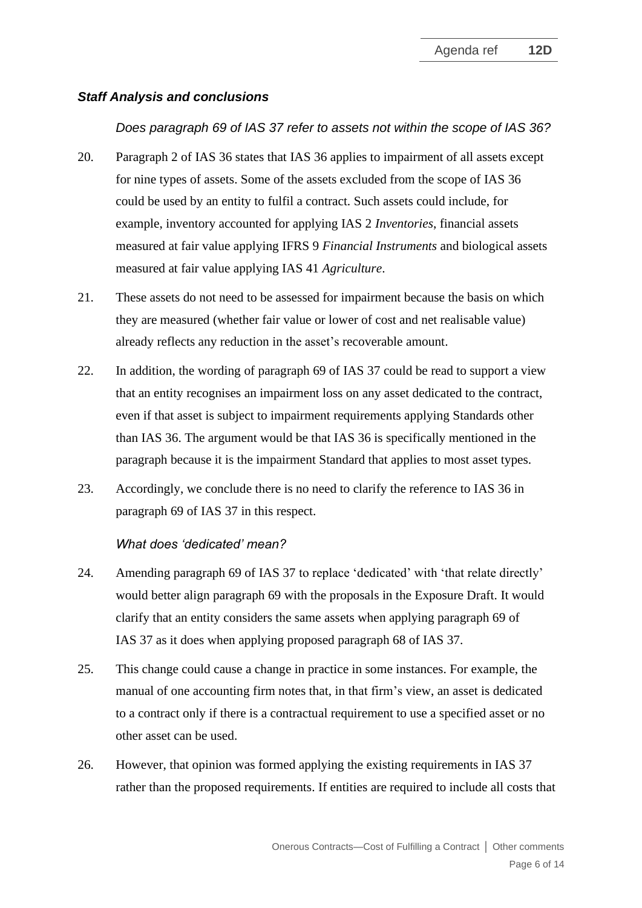## *Staff Analysis and conclusions*

## *Does paragraph 69 of IAS 37 refer to assets not within the scope of IAS 36?*

- 20. Paragraph 2 of IAS 36 states that IAS 36 applies to impairment of all assets except for nine types of assets. Some of the assets excluded from the scope of IAS 36 could be used by an entity to fulfil a contract. Such assets could include, for example, inventory accounted for applying IAS 2 *Inventories*, financial assets measured at fair value applying IFRS 9 *Financial Instruments* and biological assets measured at fair value applying IAS 41 *Agriculture*.
- 21. These assets do not need to be assessed for impairment because the basis on which they are measured (whether fair value or lower of cost and net realisable value) already reflects any reduction in the asset's recoverable amount.
- 22. In addition, the wording of paragraph 69 of IAS 37 could be read to support a view that an entity recognises an impairment loss on any asset dedicated to the contract, even if that asset is subject to impairment requirements applying Standards other than IAS 36. The argument would be that IAS 36 is specifically mentioned in the paragraph because it is the impairment Standard that applies to most asset types.
- 23. Accordingly, we conclude there is no need to clarify the reference to IAS 36 in paragraph 69 of IAS 37 in this respect.

## *What does 'dedicated' mean?*

- <span id="page-5-0"></span>24. Amending paragraph 69 of IAS 37 to replace 'dedicated' with 'that relate directly' would better align paragraph 69 with the proposals in the Exposure Draft. It would clarify that an entity considers the same assets when applying paragraph 69 of IAS 37 as it does when applying proposed paragraph 68 of IAS 37.
- 25. This change could cause a change in practice in some instances. For example, the manual of one accounting firm notes that, in that firm's view, an asset is dedicated to a contract only if there is a contractual requirement to use a specified asset or no other asset can be used.
- <span id="page-5-1"></span>26. However, that opinion was formed applying the existing requirements in IAS 37 rather than the proposed requirements. If entities are required to include all costs that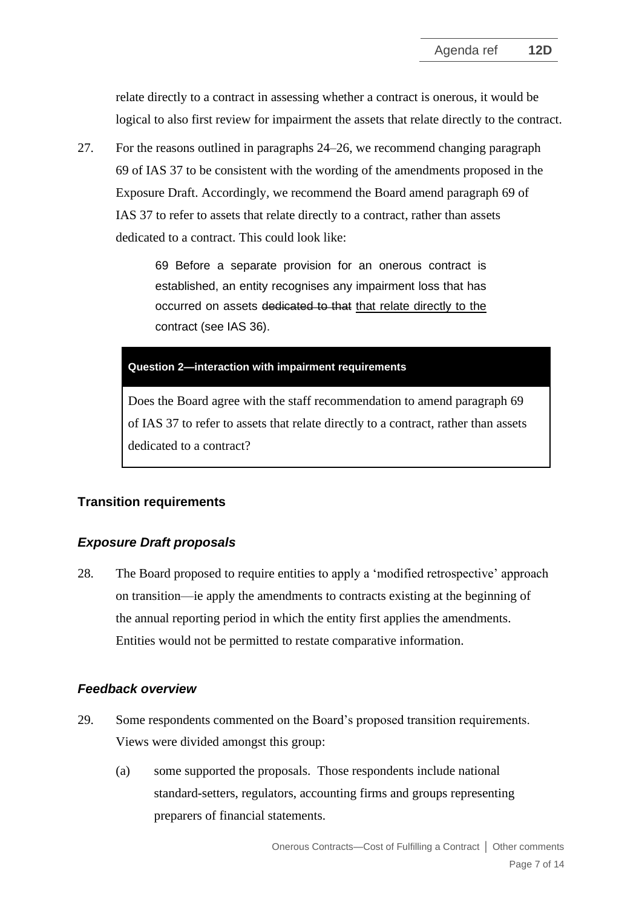relate directly to a contract in assessing whether a contract is onerous, it would be logical to also first review for impairment the assets that relate directly to the contract.

27. For the reasons outlined in paragraphs [24](#page-5-0)[–26,](#page-5-1) we recommend changing paragraph 69 of IAS 37 to be consistent with the wording of the amendments proposed in the Exposure Draft. Accordingly, we recommend the Board amend paragraph 69 of IAS 37 to refer to assets that relate directly to a contract, rather than assets dedicated to a contract. This could look like:

> <span id="page-6-0"></span>69 Before a separate provision for an onerous contract is established, an entity recognises any impairment loss that has occurred on assets dedicated to that that relate directly to the contract (see IAS 36).

#### **Question 2—interaction with impairment requirements**

Does the Board agree with the staff recommendation to amend paragraph 69 of IAS 37 to refer to assets that relate directly to a contract, rather than assets dedicated to a contract?

# **Transition requirements**

# *Exposure Draft proposals*

<span id="page-6-1"></span>28. The Board proposed to require entities to apply a 'modified retrospective' approach on transition—ie apply the amendments to contracts existing at the beginning of the annual reporting period in which the entity first applies the amendments. Entities would not be permitted to restate comparative information.

## *Feedback overview*

- 29. Some respondents commented on the Board's proposed transition requirements. Views were divided amongst this group:
	- (a) some supported the proposals. Those respondents include national standard-setters, regulators, accounting firms and groups representing preparers of financial statements.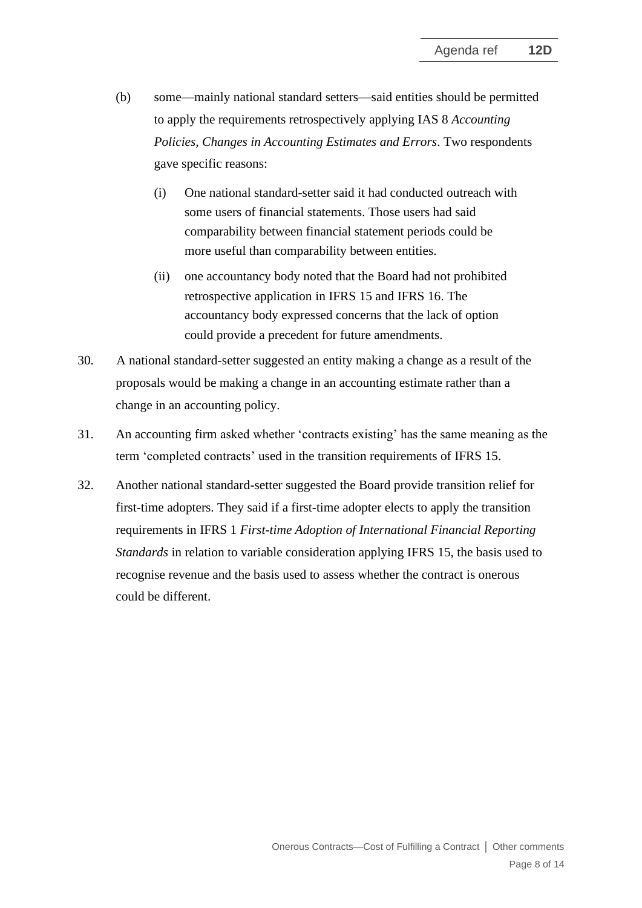- (b) some—mainly national standard setters—said entities should be permitted to apply the requirements retrospectively applying IAS 8 *Accounting Policies, Changes in Accounting Estimates and Errors*. Two respondents gave specific reasons:
	- (i) One national standard-setter said it had conducted outreach with some users of financial statements. Those users had said comparability between financial statement periods could be more useful than comparability between entities.
	- (ii) one accountancy body noted that the Board had not prohibited retrospective application in IFRS 15 and IFRS 16. The accountancy body expressed concerns that the lack of option could provide a precedent for future amendments.
- 30. A national standard-setter suggested an entity making a change as a result of the proposals would be making a change in an accounting estimate rather than a change in an accounting policy.
- 31. An accounting firm asked whether 'contracts existing' has the same meaning as the term 'completed contracts' used in the transition requirements of IFRS 15.
- <span id="page-7-0"></span>32. Another national standard-setter suggested the Board provide transition relief for first-time adopters. They said if a first-time adopter elects to apply the transition requirements in IFRS 1 *First-time Adoption of International Financial Reporting Standards* in relation to variable consideration applying IFRS 15, the basis used to recognise revenue and the basis used to assess whether the contract is onerous could be different.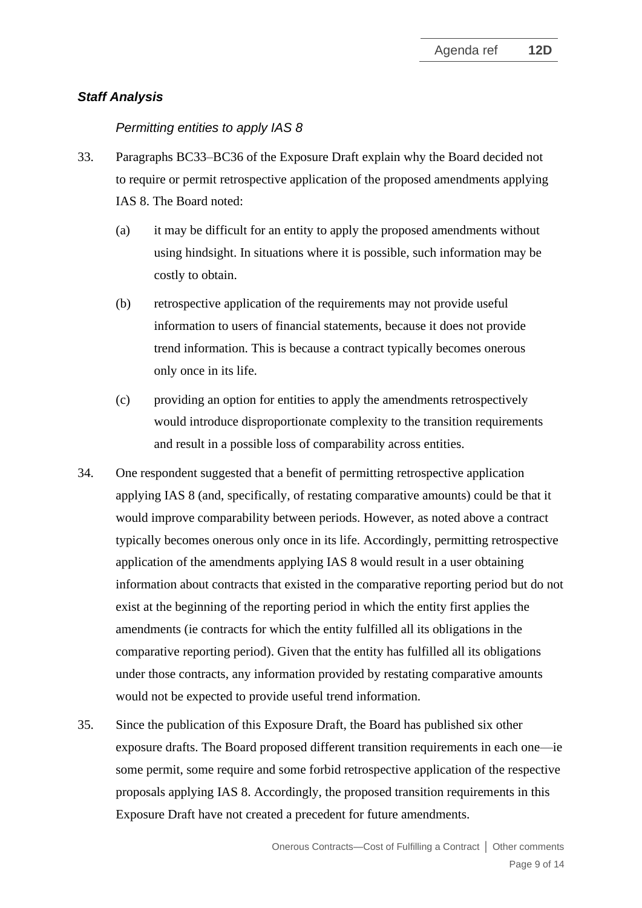## *Staff Analysis*

#### *Permitting entities to apply IAS 8*

- 33. Paragraphs BC33–BC36 of the Exposure Draft explain why the Board decided not to require or permit retrospective application of the proposed amendments applying IAS 8. The Board noted:
	- (a) it may be difficult for an entity to apply the proposed amendments without using hindsight. In situations where it is possible, such information may be costly to obtain.
	- (b) retrospective application of the requirements may not provide useful information to users of financial statements, because it does not provide trend information. This is because a contract typically becomes onerous only once in its life.
	- (c) providing an option for entities to apply the amendments retrospectively would introduce disproportionate complexity to the transition requirements and result in a possible loss of comparability across entities.
- 34. One respondent suggested that a benefit of permitting retrospective application applying IAS 8 (and, specifically, of restating comparative amounts) could be that it would improve comparability between periods. However, as noted above a contract typically becomes onerous only once in its life. Accordingly, permitting retrospective application of the amendments applying IAS 8 would result in a user obtaining information about contracts that existed in the comparative reporting period but do not exist at the beginning of the reporting period in which the entity first applies the amendments (ie contracts for which the entity fulfilled all its obligations in the comparative reporting period). Given that the entity has fulfilled all its obligations under those contracts, any information provided by restating comparative amounts would not be expected to provide useful trend information.
- 35. Since the publication of this Exposure Draft, the Board has published six other exposure drafts. The Board proposed different transition requirements in each one—ie some permit, some require and some forbid retrospective application of the respective proposals applying IAS 8. Accordingly, the proposed transition requirements in this Exposure Draft have not created a precedent for future amendments.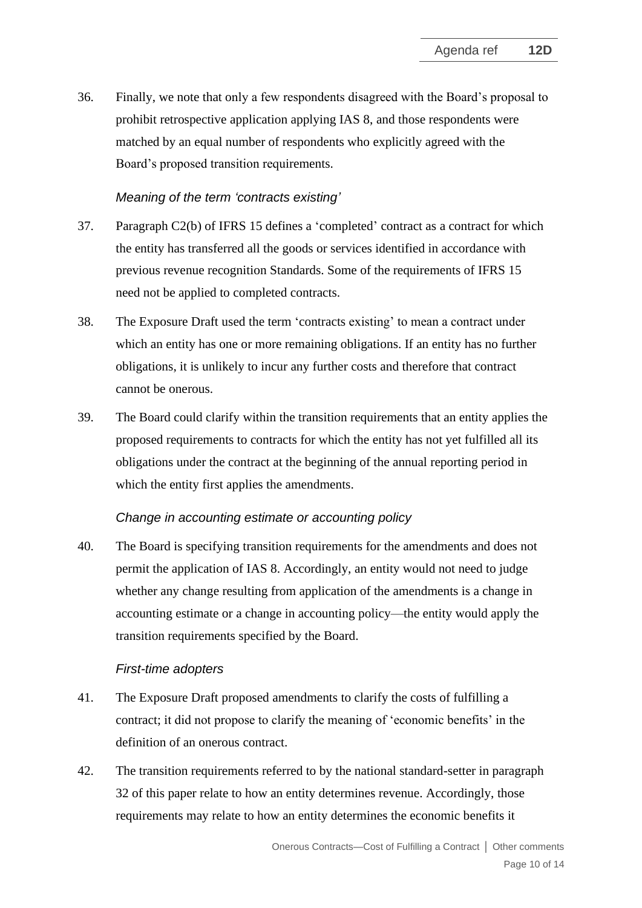36. Finally, we note that only a few respondents disagreed with the Board's proposal to prohibit retrospective application applying IAS 8, and those respondents were matched by an equal number of respondents who explicitly agreed with the Board's proposed transition requirements.

## *Meaning of the term 'contracts existing'*

- 37. Paragraph C2(b) of IFRS 15 defines a 'completed' contract as a contract for which the entity has transferred all the goods or services identified in accordance with previous revenue recognition Standards. Some of the requirements of IFRS 15 need not be applied to completed contracts.
- 38. The Exposure Draft used the term 'contracts existing' to mean a contract under which an entity has one or more remaining obligations. If an entity has no further obligations, it is unlikely to incur any further costs and therefore that contract cannot be onerous.
- 39. The Board could clarify within the transition requirements that an entity applies the proposed requirements to contracts for which the entity has not yet fulfilled all its obligations under the contract at the beginning of the annual reporting period in which the entity first applies the amendments.

## *Change in accounting estimate or accounting policy*

40. The Board is specifying transition requirements for the amendments and does not permit the application of IAS 8. Accordingly, an entity would not need to judge whether any change resulting from application of the amendments is a change in accounting estimate or a change in accounting policy—the entity would apply the transition requirements specified by the Board.

## *First-time adopters*

- 41. The Exposure Draft proposed amendments to clarify the costs of fulfilling a contract; it did not propose to clarify the meaning of 'economic benefits' in the definition of an onerous contract.
- 42. The transition requirements referred to by the national standard-setter in paragraph [32](#page-7-0) of this paper relate to how an entity determines revenue. Accordingly, those requirements may relate to how an entity determines the economic benefits it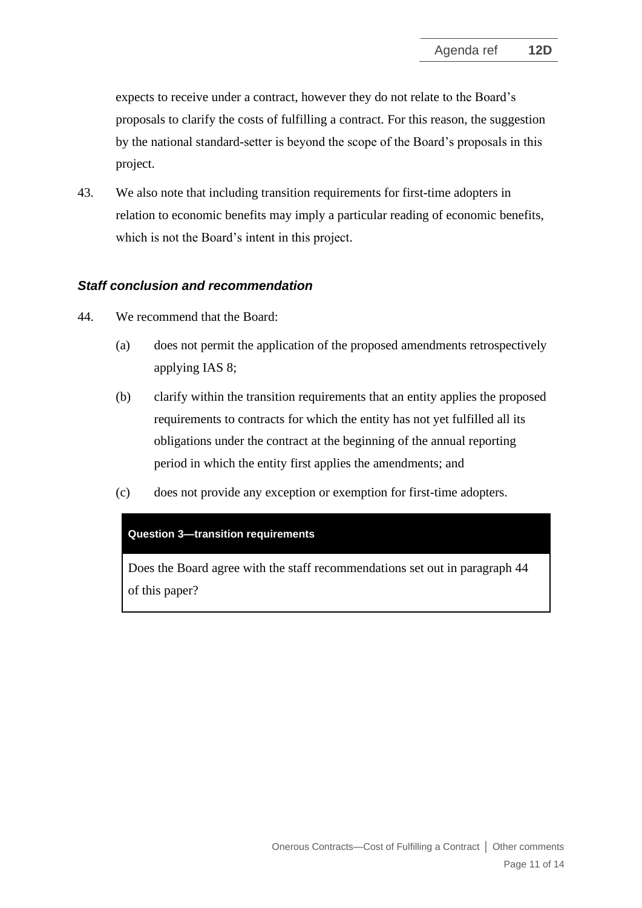expects to receive under a contract, however they do not relate to the Board's proposals to clarify the costs of fulfilling a contract. For this reason, the suggestion by the national standard-setter is beyond the scope of the Board's proposals in this project.

43. We also note that including transition requirements for first-time adopters in relation to economic benefits may imply a particular reading of economic benefits, which is not the Board's intent in this project.

# *Staff conclusion and recommendation*

- <span id="page-10-0"></span>44. We recommend that the Board:
	- (a) does not permit the application of the proposed amendments retrospectively applying IAS 8;
	- (b) clarify within the transition requirements that an entity applies the proposed requirements to contracts for which the entity has not yet fulfilled all its obligations under the contract at the beginning of the annual reporting period in which the entity first applies the amendments; and
	- (c) does not provide any exception or exemption for first-time adopters.

#### **Question 3—transition requirements**

Does the Board agree with the staff recommendations set out in paragraph [44](#page-10-0) of this paper?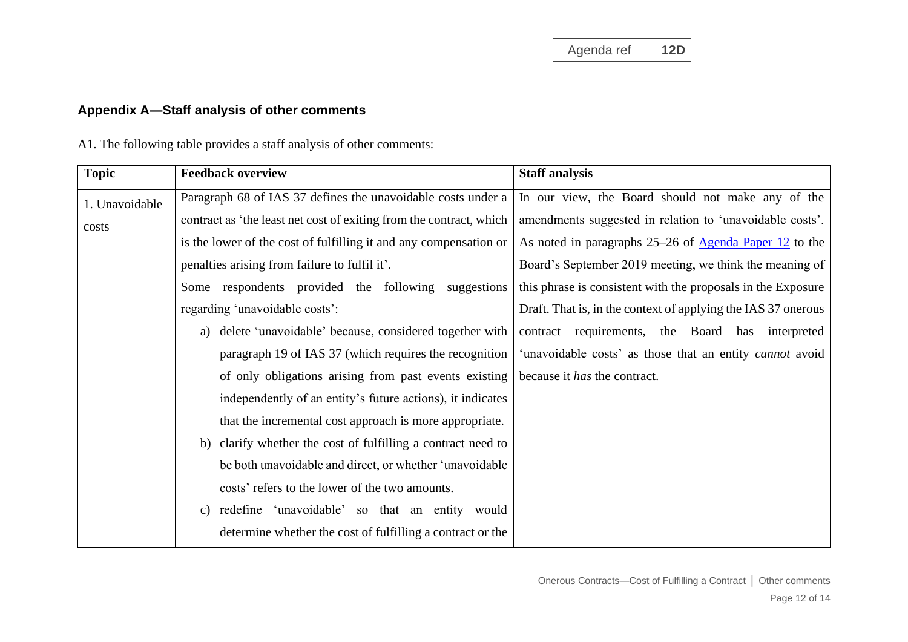# **Appendix A—Staff analysis of other comments**

A1. The following table provides a staff analysis of other comments:

| <b>Topic</b>   | <b>Feedback overview</b>                                            | <b>Staff analysis</b>                                           |
|----------------|---------------------------------------------------------------------|-----------------------------------------------------------------|
| 1. Unavoidable | Paragraph 68 of IAS 37 defines the unavoidable costs under a        | In our view, the Board should not make any of the               |
| costs          | contract as 'the least net cost of exiting from the contract, which | amendments suggested in relation to 'unavoidable costs'.        |
|                | is the lower of the cost of fulfilling it and any compensation or   | As noted in paragraphs 25–26 of <u>Agenda Paper 12</u> to the   |
|                | penalties arising from failure to fulfil it'.                       | Board's September 2019 meeting, we think the meaning of         |
|                | Some respondents provided the following suggestions                 | this phrase is consistent with the proposals in the Exposure    |
|                | regarding 'unavoidable costs':                                      | Draft. That is, in the context of applying the IAS 37 onerous   |
|                | delete 'unavoidable' because, considered together with<br>a)        | contract requirements, the Board has interpreted                |
|                | paragraph 19 of IAS 37 (which requires the recognition              | 'unavoidable costs' as those that an entity <i>cannot</i> avoid |
|                | of only obligations arising from past events existing               | because it has the contract.                                    |
|                | independently of an entity's future actions), it indicates          |                                                                 |
|                | that the incremental cost approach is more appropriate.             |                                                                 |
|                | clarify whether the cost of fulfilling a contract need to<br>b)     |                                                                 |
|                | be both unavoidable and direct, or whether 'unavoidable             |                                                                 |
|                | costs' refers to the lower of the two amounts.                      |                                                                 |
|                | c) redefine 'unavoidable' so that an entity would                   |                                                                 |
|                | determine whether the cost of fulfilling a contract or the          |                                                                 |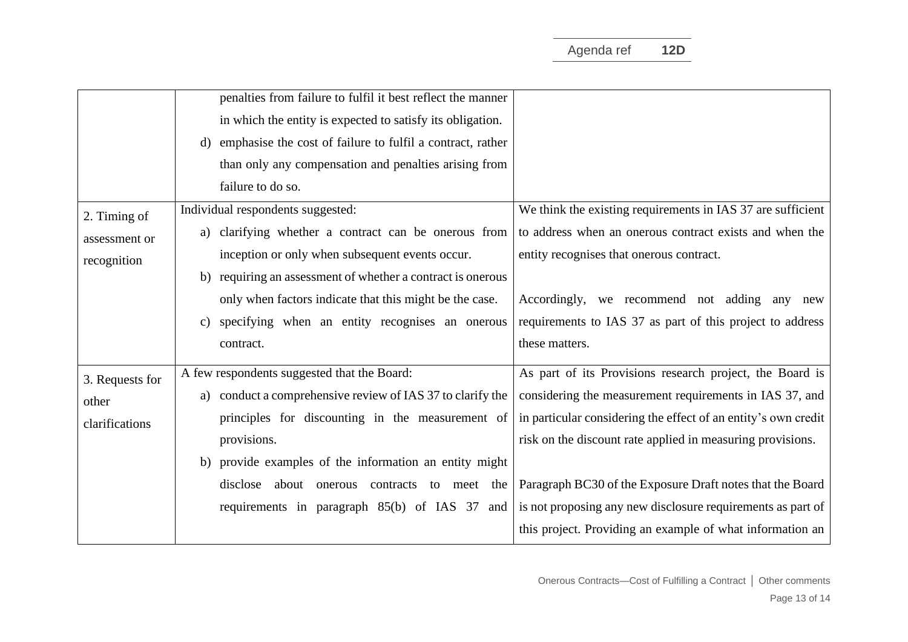|                 | penalties from failure to fulfil it best reflect the manner      |                                                                |
|-----------------|------------------------------------------------------------------|----------------------------------------------------------------|
|                 | in which the entity is expected to satisfy its obligation.       |                                                                |
|                 | emphasise the cost of failure to fulfil a contract, rather<br>d) |                                                                |
|                 | than only any compensation and penalties arising from            |                                                                |
|                 | failure to do so.                                                |                                                                |
| 2. Timing of    | Individual respondents suggested:                                | We think the existing requirements in IAS 37 are sufficient    |
| assessment or   | a) clarifying whether a contract can be onerous from             | to address when an onerous contract exists and when the        |
| recognition     | inception or only when subsequent events occur.                  | entity recognises that onerous contract.                       |
|                 | requiring an assessment of whether a contract is onerous<br>b)   |                                                                |
|                 | only when factors indicate that this might be the case.          | Accordingly, we recommend not adding any new                   |
|                 | specifying when an entity recognises an onerous<br>$\mathbf{c})$ | requirements to IAS 37 as part of this project to address      |
|                 | contract.                                                        | these matters.                                                 |
| 3. Requests for | A few respondents suggested that the Board:                      | As part of its Provisions research project, the Board is       |
| other           | a) conduct a comprehensive review of IAS 37 to clarify the       | considering the measurement requirements in IAS 37, and        |
| clarifications  | principles for discounting in the measurement of                 | in particular considering the effect of an entity's own credit |
|                 | provisions.                                                      | risk on the discount rate applied in measuring provisions.     |
|                 | b) provide examples of the information an entity might           |                                                                |
|                 | disclose about onerous contracts to meet the                     | Paragraph BC30 of the Exposure Draft notes that the Board      |
|                 | requirements in paragraph 85(b) of IAS 37<br>and                 | is not proposing any new disclosure requirements as part of    |
|                 |                                                                  | this project. Providing an example of what information an      |